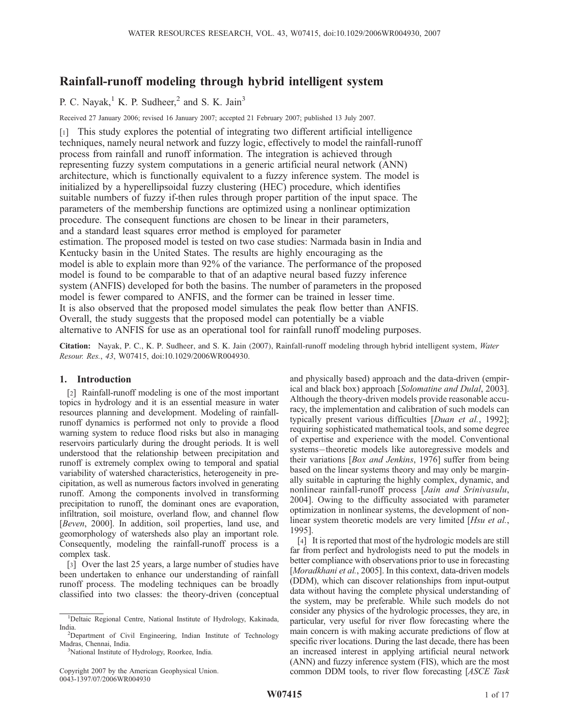# Rainfall-runoff modeling through hybrid intelligent system

P. C. Nayak,<sup>1</sup> K. P. Sudheer,<sup>2</sup> and S. K. Jain<sup>3</sup>

Received 27 January 2006; revised 16 January 2007; accepted 21 February 2007; published 13 July 2007.

[1] This study explores the potential of integrating two different artificial intelligence techniques, namely neural network and fuzzy logic, effectively to model the rainfall-runoff process from rainfall and runoff information. The integration is achieved through representing fuzzy system computations in a generic artificial neural network (ANN) architecture, which is functionally equivalent to a fuzzy inference system. The model is initialized by a hyperellipsoidal fuzzy clustering (HEC) procedure, which identifies suitable numbers of fuzzy if-then rules through proper partition of the input space. The parameters of the membership functions are optimized using a nonlinear optimization procedure. The consequent functions are chosen to be linear in their parameters, and a standard least squares error method is employed for parameter estimation. The proposed model is tested on two case studies: Narmada basin in India and Kentucky basin in the United States. The results are highly encouraging as the model is able to explain more than 92% of the variance. The performance of the proposed model is found to be comparable to that of an adaptive neural based fuzzy inference system (ANFIS) developed for both the basins. The number of parameters in the proposed model is fewer compared to ANFIS, and the former can be trained in lesser time. It is also observed that the proposed model simulates the peak flow better than ANFIS. Overall, the study suggests that the proposed model can potentially be a viable alternative to ANFIS for use as an operational tool for rainfall runoff modeling purposes.

Citation: Nayak, P. C., K. P. Sudheer, and S. K. Jain (2007), Rainfall-runoff modeling through hybrid intelligent system, *Water Resour. Res.*, *43*, W07415, doi:10.1029/2006WR004930.

# 1. Introduction

[2] Rainfall-runoff modeling is one of the most important topics in hydrology and it is an essential measure in water resources planning and development. Modeling of rainfallrunoff dynamics is performed not only to provide a flood warning system to reduce flood risks but also in managing reservoirs particularly during the drought periods. It is well understood that the relationship between precipitation and runoff is extremely complex owing to temporal and spatial variability of watershed characteristics, heterogeneity in precipitation, as well as numerous factors involved in generating runoff. Among the components involved in transforming precipitation to runoff, the dominant ones are evaporation, infiltration, soil moisture, overland flow, and channel flow [*Beven*, 2000]. In addition, soil properties, land use, and geomorphology of watersheds also play an important role. Consequently, modeling the rainfall-runoff process is a complex task.

[3] Over the last 25 years, a large number of studies have been undertaken to enhance our understanding of rainfall runoff process. The modeling techniques can be broadly classified into two classes: the theory-driven (conceptual

<sup>3</sup>National Institute of Hydrology, Roorkee, India.

Copyright 2007 by the American Geophysical Union. 0043-1397/07/2006WR004930

and physically based) approach and the data-driven (empirical and black box) approach [*Solomatine and Dulal*, 2003]. Although the theory-driven models provide reasonable accuracy, the implementation and calibration of such models can typically present various difficulties [*Duan et al.*, 1992]; requiring sophisticated mathematical tools, and some degree of expertise and experience with the model. Conventional systems-theoretic models like autoregressive models and their variations [*Box and Jenkins*, 1976] suffer from being based on the linear systems theory and may only be marginally suitable in capturing the highly complex, dynamic, and nonlinear rainfall-runoff process [*Jain and Srinivasulu*, 2004]. Owing to the difficulty associated with parameter optimization in nonlinear systems, the development of nonlinear system theoretic models are very limited [*Hsu et al.*, 1995].

[4] It is reported that most of the hydrologic models are still far from perfect and hydrologists need to put the models in better compliance with observations prior to use in forecasting [Moradkhani et al., 2005]. In this context, data-driven models (DDM), which can discover relationships from input-output data without having the complete physical understanding of the system, may be preferable. While such models do not consider any physics of the hydrologic processes, they are, in particular, very useful for river flow forecasting where the main concern is with making accurate predictions of flow at specific river locations. During the last decade, there has been an increased interest in applying artificial neural network (ANN) and fuzzy inference system (FIS), which are the most common DDM tools, to river flow forecasting [*ASCE Task*

<sup>1</sup>Deltaic Regional Centre, National Institute of Hydrology, Kakinada, India.

<sup>&</sup>lt;sup>2</sup>Department of Civil Engineering, Indian Institute of Technology Madras, Chennai, India.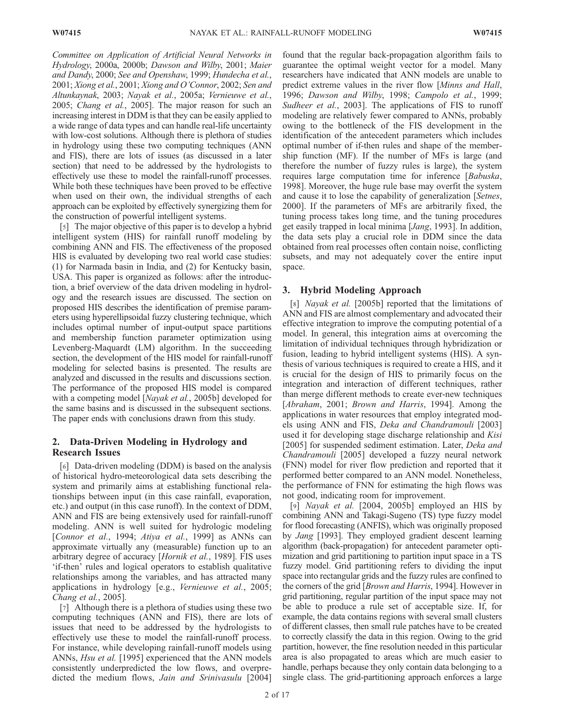*Committee on Application of Artificial Neural Networks in Hydrology*, 2000a, 2000b; *Dawson and Wilby*, 2001; *Maier and Dandy*, 2000; *See and Openshaw*, 1999; *Hundecha et al.*, 2001; *Xiong et al.*, 2001; *Xiong and O'Connor*, 2002; *Sen and Altunkaynak*, 2003; *Nayak et al.*, 2005a; *Vernieuwe et al.*, 2005; *Chang et al.*, 2005]. The major reason for such an increasing interest in DDM is that they can be easily applied to a wide range of data types and can handle real-life uncertainty with low-cost solutions. Although there is plethora of studies in hydrology using these two computing techniques (ANN and FIS), there are lots of issues (as discussed in a later section) that need to be addressed by the hydrologists to effectively use these to model the rainfall-runoff processes. While both these techniques have been proved to be effective when used on their own, the individual strengths of each approach can be exploited by effectively synergizing them for the construction of powerful intelligent systems.

[5] The major objective of this paper is to develop a hybrid intelligent system (HIS) for rainfall runoff modeling by combining ANN and FIS. The effectiveness of the proposed HIS is evaluated by developing two real world case studies: (1) for Narmada basin in India, and (2) for Kentucky basin, USA. This paper is organized as follows: after the introduction, a brief overview of the data driven modeling in hydrology and the research issues are discussed. The section on proposed HIS describes the identification of premise parameters using hyperellipsoidal fuzzy clustering technique, which includes optimal number of input-output space partitions and membership function parameter optimization using Levenberg-Maquardt (LM) algorithm. In the succeeding section, the development of the HIS model for rainfall-runoff modeling for selected basins is presented. The results are analyzed and discussed in the results and discussions section. The performance of the proposed HIS model is compared with a competing model [*Nayak et al.*, 2005b] developed for the same basins and is discussed in the subsequent sections. The paper ends with conclusions drawn from this study.

# 2. Data-Driven Modeling in Hydrology and Research Issues

[6] Data-driven modeling (DDM) is based on the analysis of historical hydro-meteorological data sets describing the system and primarily aims at establishing functional relationships between input (in this case rainfall, evaporation, etc.) and output (in this case runoff). In the context of DDM, ANN and FIS are being extensively used for rainfall-runoff modeling. ANN is well suited for hydrologic modeling [*Connor et al.*, 1994; *Atiya et al.*, 1999] as ANNs can approximate virtually any (measurable) function up to an arbitrary degree of accuracy [*Hornik et al.*, 1989]. FIS uses 'if-then' rules and logical operators to establish qualitative relationships among the variables, and has attracted many applications in hydrology [e.g., *Vernieuwe et al.*, 2005; *Chang et al.*, 2005].

[7] Although there is a plethora of studies using these two computing techniques (ANN and FIS), there are lots of issues that need to be addressed by the hydrologists to effectively use these to model the rainfall-runoff process. For instance, while developing rainfall-runoff models using ANNs, *Hsu et al.* [1995] experienced that the ANN models consistently underpredicted the low flows, and overpredicted the medium flows, *Jain and Srinivasulu* [2004]

found that the regular back-propagation algorithm fails to guarantee the optimal weight vector for a model. Many researchers have indicated that ANN models are unable to predict extreme values in the river flow [*Minns and Hall*, 1996; *Dawson and Wilby*, 1998; *Campolo et al.*, 1999; *Sudheer et al.*, 2003]. The applications of FIS to runoff modeling are relatively fewer compared to ANNs, probably owing to the bottleneck of the FIS development in the identification of the antecedent parameters which includes optimal number of if-then rules and shape of the membership function (MF). If the number of MFs is large (and therefore the number of fuzzy rules is large), the system requires large computation time for inference [*Babuska*, 1998]. Moreover, the huge rule base may overfit the system and cause it to lose the capability of generalization [*Setnes*, 2000]. If the parameters of MFs are arbitrarily fixed, the tuning process takes long time, and the tuning procedures get easily trapped in local minima [*Jang*, 1993]. In addition, the data sets play a crucial role in DDM since the data obtained from real processes often contain noise, conflicting subsets, and may not adequately cover the entire input space.

# 3. Hybrid Modeling Approach

[8] *Nayak et al.* [2005b] reported that the limitations of ANN and FIS are almost complementary and advocated their effective integration to improve the computing potential of a model. In general, this integration aims at overcoming the limitation of individual techniques through hybridization or fusion, leading to hybrid intelligent systems (HIS). A synthesis of various techniques is required to create a HIS, and it is crucial for the design of HIS to primarily focus on the integration and interaction of different techniques, rather than merge different methods to create ever-new techniques [*Abraham*, 2001; *Brown and Harris*, 1994]. Among the applications in water resources that employ integrated models using ANN and FIS, *Deka and Chandramouli* [2003] used it for developing stage discharge relationship and *Kisi* [2005] for suspended sediment estimation. Later, *Deka and Chandramouli* [2005] developed a fuzzy neural network (FNN) model for river flow prediction and reported that it performed better compared to an ANN model. Nonetheless, the performance of FNN for estimating the high flows was not good, indicating room for improvement.

[9] *Nayak et al.* [2004, 2005b] employed an HIS by combining ANN and Takagi-Sugeno (TS) type fuzzy model for flood forecasting (ANFIS), which was originally proposed by *Jang* [1993]. They employed gradient descent learning algorithm (back-propagation) for antecedent parameter optimization and grid partitioning to partition input space in a TS fuzzy model. Grid partitioning refers to dividing the input space into rectangular grids and the fuzzy rules are confined to the corners of the grid [*Brown and Harris*, 1994]. However in grid partitioning, regular partition of the input space may not be able to produce a rule set of acceptable size. If, for example, the data contains regions with several small clusters of different classes, then small rule patches have to be created to correctly classify the data in this region. Owing to the grid partition, however, the fine resolution needed in this particular area is also propagated to areas which are much easier to handle, perhaps because they only contain data belonging to a single class. The grid-partitioning approach enforces a large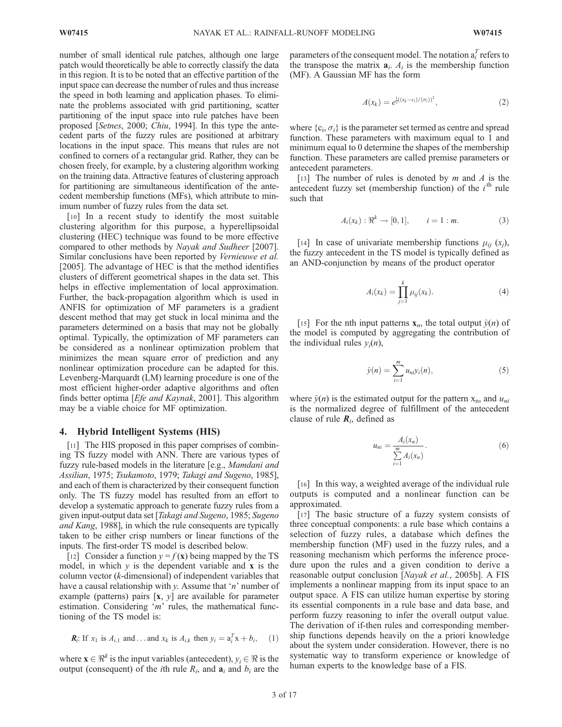number of small identical rule patches, although one large patch would theoretically be able to correctly classify the data in this region. It is to be noted that an effective partition of the input space can decrease the number of rules and thus increase the speed in both learning and application phases. To eliminate the problems associated with grid partitioning, scatter partitioning of the input space into rule patches have been proposed [*Setnes*, 2000; *Chiu*, 1994]. In this type the antecedent parts of the fuzzy rules are positioned at arbitrary locations in the input space. This means that rules are not confined to corners of a rectangular grid. Rather, they can be chosen freely, for example, by a clustering algorithm working on the training data. Attractive features of clustering approach for partitioning are simultaneous identification of the antecedent membership functions (MFs), which attribute to minimum number of fuzzy rules from the data set.

[10] In a recent study to identify the most suitable clustering algorithm for this purpose, a hyperellipsoidal clustering (HEC) technique was found to be more effective compared to other methods by *Nayak and Sudheer* [2007]. Similar conclusions have been reported by *Vernieuwe et al.* [2005]. The advantage of HEC is that the method identifies clusters of different geometrical shapes in the data set. This helps in effective implementation of local approximation. Further, the back-propagation algorithm which is used in ANFIS for optimization of MF parameters is a gradient descent method that may get stuck in local minima and the parameters determined on a basis that may not be globally optimal. Typically, the optimization of MF parameters can be considered as a nonlinear optimization problem that minimizes the mean square error of prediction and any nonlinear optimization procedure can be adapted for this. Levenberg-Marquardt (LM) learning procedure is one of the most efficient higher-order adaptive algorithms and often finds better optima [*Efe and Kaynak*, 2001]. This algorithm may be a viable choice for MF optimization.

#### 4. Hybrid Intelligent Systems (HIS)

[11] The HIS proposed in this paper comprises of combining TS fuzzy model with ANN. There are various types of fuzzy rule-based models in the literature [e.g., *Mamdani and Assilian*, 1975; *Tsukamoto*, 1979; *Takagi and Sugeno*, 1985], and each of them is characterized by their consequent function only. The TS fuzzy model has resulted from an effort to develop a systematic approach to generate fuzzy rules from a given input-output data set [*Takagi and Sugeno*, 1985; *Sugeno and Kang*, 1988], in which the rule consequents are typically taken to be either crisp numbers or linear functions of the inputs. The first-order TS model is described below.

[12] Consider a function  $y = f(x)$  being mapped by the TS model, in which  $y$  is the dependent variable and  $x$  is the column vector (*k*-dimensional) of independent variables that have a causal relationship with *y*. Assume that '*n*' number of example (patterns) pairs  $[x, y]$  are available for parameter estimation. Considering '*m*' rules, the mathematical functioning of the TS model is:

$$
\mathbf{R}_i
$$
: If  $x_1$  is  $A_{i,1}$  and ... and  $x_k$  is  $A_{i,k}$  then  $y_i = a_i^T x + b_i$ , (1)

where  $\mathbf{x} \in \mathbb{R}^k$  is the input variables (antecedent),  $y_i \in \mathbb{R}$  is the output (consequent) of the *i*th rule  $R_i$ , and  $\mathbf{a}_i$  and  $b_i$  are the

parameters of the consequent model. The notation  $a_i^T$  refers to the transpose the matrix  $a_i$ .  $A_i$  is the membership function (MF). A Gaussian MF has the form

$$
A(x_k) = e^{\frac{1}{2}((x_k - c_i)/(\sigma_i))^2}, \qquad (2)
$$

where  $\{c_i, \sigma_i\}$  is the parameter set termed as centre and spread function. These parameters with maximum equal to 1 and minimum equal to 0 determine the shapes of the membership function. These parameters are called premise parameters or antecedent parameters.

[13] The number of rules is denoted by *m* and *A* is the antecedent fuzzy set (membership function) of the  $i<sup>th</sup>$  rule such that

$$
A_i(x_k) : \mathbb{R}^k \to [0, 1], \quad i = 1 : m.
$$
 (3)

[14] In case of univariate membership functions  $\mu_{ij}$  ( $x_j$ ), the fuzzy antecedent in the TS model is typically defined as an AND-conjunction by means of the product operator

$$
A_i(x_k) = \prod_{j=1}^k \mu_{ij}(x_k).
$$
 (4)

[15] For the nth input patterns  $\mathbf{x}_n$ , the total output  $\hat{y}(n)$  of the model is computed by aggregating the contribution of the individual rules  $y_i(n)$ ,

$$
\hat{y}(n) = \sum_{i=1}^{m} u_{ni} y_i(n),
$$
\n(5)

where  $\hat{y}(n)$  is the estimated output for the pattern  $x_n$ , and  $u_{ni}$ is the normalized degree of fulfillment of the antecedent clause of rule  $R_i$ , defined as

$$
u_{ni} = \frac{A_i(x_n)}{\sum_{i=1}^m A_i(x_n)}.
$$
 (6)

[16] In this way, a weighted average of the individual rule outputs is computed and a nonlinear function can be approximated.

[17] The basic structure of a fuzzy system consists of three conceptual components: a rule base which contains a selection of fuzzy rules, a database which defines the membership function (MF) used in the fuzzy rules, and a reasoning mechanism which performs the inference procedure upon the rules and a given condition to derive a reasonable output conclusion [*Nayak et al.*, 2005b]. A FIS implements a nonlinear mapping from its input space to an output space. A FIS can utilize human expertise by storing its essential components in a rule base and data base, and perform fuzzy reasoning to infer the overall output value. The derivation of if-then rules and corresponding membership functions depends heavily on the a priori knowledge about the system under consideration. However, there is no systematic way to transform experience or knowledge of human experts to the knowledge base of a FIS.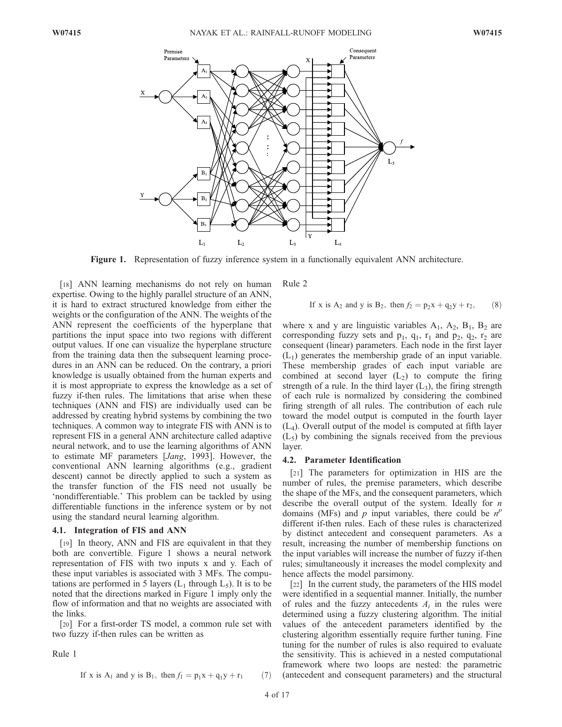

Figure 1. Representation of fuzzy inference system in a functionally equivalent ANN architecture.

[18] ANN learning mechanisms do not rely on human expertise. Owing to the highly parallel structure of an ANN, it is hard to extract structured knowledge from either the weights or the configuration of the ANN. The weights of the ANN represent the coefficients of the hyperplane that partitions the input space into two regions with different output values. If one can visualize the hyperplane structure from the training data then the subsequent learning procedures in an ANN can be reduced. On the contrary, a priori knowledge is usually obtained from the human experts and it is most appropriate to express the knowledge as a set of fuzzy if-then rules. The limitations that arise when these techniques (ANN and FIS) are individually used can be addressed by creating hybrid systems by combining the two techniques. A common way to integrate FIS with ANN is to represent FIS in a general ANN architecture called adaptive neural network, and to use the learning algorithms of ANN to estimate MF parameters [*Jang*, 1993]. However, the conventional ANN learning algorithms (e.g., gradient descent) cannot be directly applied to such a system as the transfer function of the FIS need not usually be 'nondifferentiable.' This problem can be tackled by using differentiable functions in the inference system or by not using the standard neural learning algorithm.

# 4.1. Integration of FIS and ANN

[19] In theory, ANN and FIS are equivalent in that they both are convertible. Figure 1 shows a neural network representation of FIS with two inputs x and y. Each of these input variables is associated with 3 MFs. The computations are performed in 5 layers  $(L_1$  through  $L_5$ ). It is to be noted that the directions marked in Figure 1 imply only the flow of information and that no weights are associated with the links.

[20] For a first-order TS model, a common rule set with two fuzzy if-then rules can be written as

Rule 1

If x is A<sub>1</sub> and y is B<sub>1</sub>, then 
$$
f_1 = p_1x + q_1y + r_1
$$
 (7)

Rule 2

If x is A<sub>2</sub> and y is B<sub>2</sub>, then 
$$
f_2 = p_2x + q_2y + r_2
$$
, (8)

where x and y are linguistic variables  $A_1$ ,  $A_2$ ,  $B_1$ ,  $B_2$  are corresponding fuzzy sets and  $p_1$ ,  $q_1$ ,  $r_1$  and  $p_2$ ,  $q_2$ ,  $r_2$  are consequent (linear) parameters. Each node in the first layer  $(L<sub>1</sub>)$  generates the membership grade of an input variable. These membership grades of each input variable are combined at second layer  $(L_2)$  to compute the firing strength of a rule. In the third layer  $(L_3)$ , the firing strength of each rule is normalized by considering the combined firing strength of all rules. The contribution of each rule toward the model output is computed in the fourth layer  $(L_4)$ . Overall output of the model is computed at fifth layer  $(L<sub>5</sub>)$  by combining the signals received from the previous layer.

#### 4.2. Parameter Identification

[21] The parameters for optimization in HIS are the number of rules, the premise parameters, which describe the shape of the MFs, and the consequent parameters, which describe the overall output of the system. Ideally for *n* domains (MFs) and  $p$  input variables, there could be  $n^p$ different if-then rules. Each of these rules is characterized by distinct antecedent and consequent parameters. As a result, increasing the number of membership functions on the input variables will increase the number of fuzzy if-then rules; simultaneously it increases the model complexity and hence affects the model parsimony.

[22] In the current study, the parameters of the HIS model were identified in a sequential manner. Initially, the number of rules and the fuzzy antecedents  $A_i$  in the rules were determined using a fuzzy clustering algorithm. The initial values of the antecedent parameters identified by the clustering algorithm essentially require further tuning. Fine tuning for the number of rules is also required to evaluate the sensitivity. This is achieved in a nested computational framework where two loops are nested: the parametric (antecedent and consequent parameters) and the structural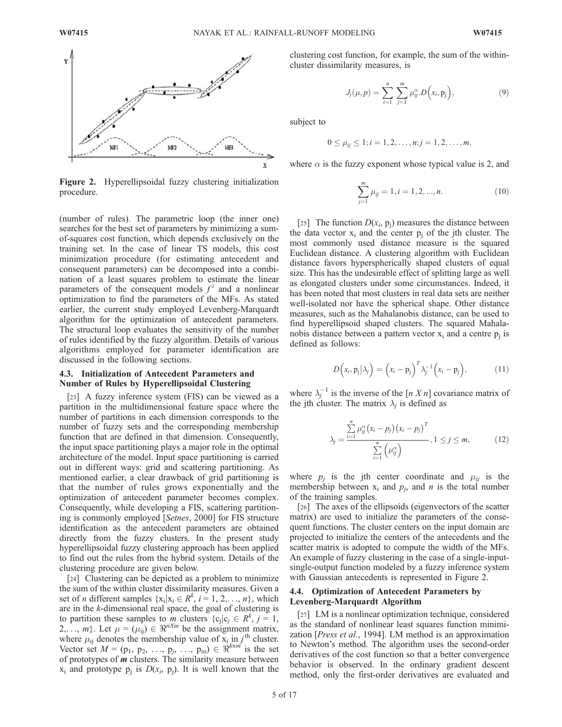

Figure 2. Hyperellipsoidal fuzzy clustering initialization procedure.

(number of rules). The parametric loop (the inner one) searches for the best set of parameters by minimizing a sumof-squares cost function, which depends exclusively on the training set. In the case of linear TS models, this cost minimization procedure (for estimating antecedent and consequent parameters) can be decomposed into a combination of a least squares problem to estimate the linear parameters of the consequent models  $f^i$  and a nonlinear optimization to find the parameters of the MFs. As stated earlier, the current study employed Levenberg-Marquardt algorithm for the optimization of antecedent parameters. The structural loop evaluates the sensitivity of the number of rules identified by the fuzzy algorithm. Details of various algorithms employed for parameter identification are discussed in the following sections.

# 4.3. Initialization of Antecedent Parameters and Number of Rules by Hyperellipsoidal Clustering

[23] A fuzzy inference system (FIS) can be viewed as a partition in the multidimensional feature space where the number of partitions in each dimension corresponds to the number of fuzzy sets and the corresponding membership function that are defined in that dimension. Consequently, the input space partitioning plays a major role in the optimal architecture of the model. Input space partitioning is carried out in different ways: grid and scattering partitioning. As mentioned earlier, a clear drawback of grid partitioning is that the number of rules grows exponentially and the optimization of antecedent parameter becomes complex. Consequently, while developing a FIS, scattering partitioning is commonly employed [*Setnes*, 2000] for FIS structure identification as the antecedent parameters are obtained directly from the fuzzy clusters. In the present study hyperellipsoidal fuzzy clustering approach has been applied to find out the rules from the hybrid system. Details of the clustering procedure are given below.

[24] Clustering can be depicted as a problem to minimize the sum of the within cluster dissimilarity measures. Given a set of *n* different samples  $\{x_i | x_i \in \mathbb{R}^k, i = 1, 2, \ldots, n\}$ , which are in the *k*-dimensional real space, the goal of clustering is to partition these samples to *m* clusters  $\{c_j | c_j \in \mathbb{R}^k, j = 1, \}$ 2,..., *m*}. Let  $\mu = (\mu_{ij}) \in \mathbb{R}^{n \times m}$  be the assignment matrix, where  $\mu_{ij}$  denotes the membership value of  $x_i$  in *j*<sup>th</sup> cluster. Vector set  $M = (p_1, p_2, \ldots, p_j, \ldots, p_m) \in \mathbb{R}^{k \times m^j}$  is the set of prototypes of  $m$  clusters. The similarity measure between  $x_i$  and prototype  $p_j$  is  $D(x_i, p_j)$ . It is well known that the

clustering cost function, for example, the sum of the withincluster dissimilarity measures, is

$$
J_j(\mu, p) = \sum_{i=1}^n \sum_{j=1}^m \mu_{ij}^{\alpha} D(x_i, p_j), \qquad (9)
$$

subject to

$$
0 \leq \mu_{ij} \leq 1; i = 1, 2, \dots, n; j = 1, 2, \dots, m,
$$

where  $\alpha$  is the fuzzy exponent whose typical value is 2, and

$$
\sum_{j=1}^{m} \mu_{ij} = 1, i = 1, 2, ..., n.
$$
 (10)

[25] The function  $D(x_i, p_j)$  measures the distance between the data vector  $x_i$  and the center  $p_i$  of the jth cluster. The most commonly used distance measure is the squared Euclidean distance. A clustering algorithm with Euclidean distance favors hyperspherically shaped clusters of equal size. This has the undesirable effect of splitting large as well as elongated clusters under some circumstances. Indeed, it has been noted that most clusters in real data sets are neither well-isolated nor have the spherical shape. Other distance measures, such as the Mahalanobis distance, can be used to find hyperellipsoid shaped clusters. The squared Mahalanobis distance between a pattern vector  $x_i$  and a centre  $p_j$  is defined as follows:

$$
D(x_i, p_j|\lambda_j) = (x_i - p_j)^T \lambda_j^{-1} (x_i - p_j), \qquad (11)
$$

where  $\lambda_j^{-1}$  is the inverse of the [*n Xn*] covariance matrix of the jth cluster. The matrix  $\lambda_j$  is defined as

$$
\lambda_j = \frac{\sum\limits_{i=1}^n \mu_{ij}^{\alpha} (x_i - p_j)(x_i - p_j)^T}{\sum\limits_{i=1}^n (\mu_{ij}^{\alpha})}, 1 \le j \le m,
$$
 (12)

where  $p_j$  is the jth center coordinate and  $\mu_{ij}$  is the membership between  $x_i$  and  $p_j$ , and  $n$  is the total number of the training samples.

[26] The axes of the ellipsoids (eigenvectors of the scatter matrix) are used to initialize the parameters of the consequent functions. The cluster centers on the input domain are projected to initialize the centers of the antecedents and the scatter matrix is adopted to compute the width of the MFs. An example of fuzzy clustering in the case of a single-inputsingle-output function modeled by a fuzzy inference system with Gaussian antecedents is represented in Figure 2.

# 4.4. Optimization of Antecedent Parameters by Levenberg-Marquardt Algorithm

[27] LM is a nonlinear optimization technique, considered as the standard of nonlinear least squares function minimization [*Press et al.*, 1994]. LM method is an approximation to Newton's method. The algorithm uses the second-order derivatives of the cost function so that a better convergence behavior is observed. In the ordinary gradient descent method, only the first-order derivatives are evaluated and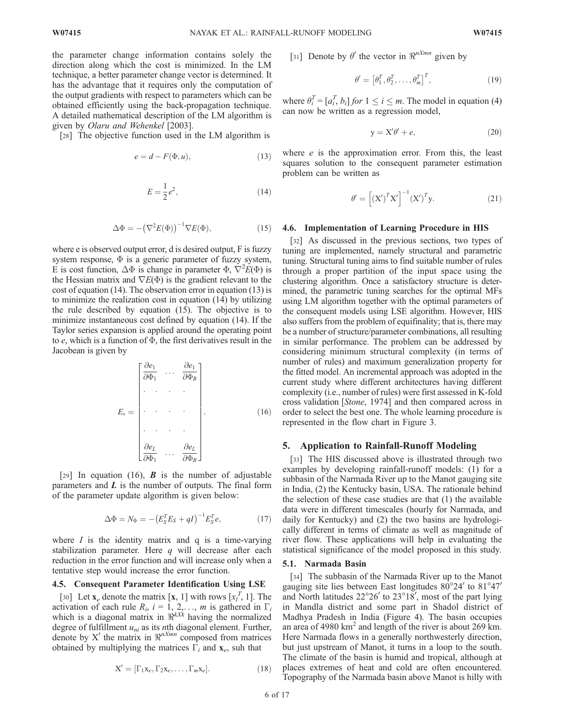the parameter change information contains solely the direction along which the cost is minimized. In the LM technique, a better parameter change vector is determined. It has the advantage that it requires only the computation of the output gradients with respect to parameters which can be obtained efficiently using the back-propagation technique. A detailed mathematical description of the LM algorithm is given by *Olaru and Wehenkel* [2003].

[28] The objective function used in the LM algorithm is

$$
e = d - F(\Phi, u), \tag{13}
$$

$$
E = \frac{1}{2}e^2,\tag{14}
$$

$$
\Delta \Phi = -\left(\nabla^2 E(\Phi)\right)^{-1} \nabla E(\Phi),\tag{15}
$$

where e is observed output error, d is desired output, F is fuzzy system response,  $\Phi$  is a generic parameter of fuzzy system, E is cost function,  $\Delta \Phi$  is change in parameter  $\Phi$ ,  $\nabla^2 \vec{E}(\Phi)$  is the Hessian matrix and  $\nabla E(\Phi)$  is the gradient relevant to the cost of equation (14). The observation error in equation (13) is to minimize the realization cost in equation (14) by utilizing the rule described by equation (15). The objective is to minimize instantaneous cost defined by equation (14). If the Taylor series expansion is applied around the operating point to  $e$ , which is a function of  $\Phi$ , the first derivatives result in the Jacobean is given by

$$
E_s = \begin{bmatrix} \frac{\partial e_1}{\partial \Phi_1} & \cdots & \frac{\partial e_1}{\partial \Phi_B} \\ \vdots & \vdots & \ddots \\ \vdots & \vdots & \ddots \\ \vdots & \vdots & \ddots \\ \frac{\partial e_L}{\partial \Phi_1} & \cdots & \frac{\partial e_L}{\partial \Phi_B} \end{bmatrix} .
$$
 (16)

[29] In equation (16),  $\vec{B}$  is the number of adjustable parameters and  $L$  is the number of outputs. The final form of the parameter update algorithm is given below:

$$
\Delta \Phi = N_{\Phi} = -\left(E_S^T E_S + qI\right)^{-1} E_S^T e,\tag{17}
$$

where  $I$  is the identity matrix and  $q$  is a time-varying stabilization parameter. Here *q* will decrease after each reduction in the error function and will increase only when a tentative step would increase the error function.

# 4.5. Consequent Parameter Identification Using LSE

[30] Let  $\mathbf{x}_e$  denote the matrix  $[\mathbf{x}, 1]$  with rows  $[x_i^T, 1]$ . The activation of each rule  $R_i$ ,  $i = 1, 2, \ldots, m$  is gathered in  $\Gamma_i$ which is a diagonal matrix in  $\Re^{kXk}$  having the normalized degree of fulfillment *uni* as its *n*th diagonal element. Further, denote by  $X'$  the matrix in  $\Re^{nXmn}$  composed from matrices obtained by multiplying the matrices  $\Gamma$ <sub>i</sub> and  $\mathbf{x}_e$ , suh that

$$
X' = [\Gamma_1 x_e, \Gamma_2 x_e, \dots, \Gamma_m x_e].
$$
 (18)

[31] Denote by  $\theta'$  the vector in  $\mathbb{R}^{n \times mn}$  given by

$$
\theta' = \left[\theta_1^T, \theta_2^T, \dots, \theta_m^T\right]^T, \tag{19}
$$

where  $\theta_i^T = [a_i^T, b_i]$  *for*  $1 \le i \le m$ . The model in equation (4) can now be written as a regression model,

$$
y = X'\theta' + e,\tag{20}
$$

where *e* is the approximation error. From this, the least squares solution to the consequent parameter estimation problem can be written as

$$
\theta' = \left[ \left( \mathbf{X}' \right)^T \mathbf{X}' \right]^{-1} \left( \mathbf{X}' \right)^T \mathbf{y}.
$$
 (21)

# 4.6. Implementation of Learning Procedure in HIS

[32] As discussed in the previous sections, two types of tuning are implemented, namely structural and parametric tuning. Structural tuning aims to find suitable number of rules through a proper partition of the input space using the clustering algorithm. Once a satisfactory structure is determined, the parametric tuning searches for the optimal MFs using LM algorithm together with the optimal parameters of the consequent models using LSE algorithm. However, HIS also suffers from the problem of equifinality; that is, there may be a number of structure/parameter combinations, all resulting in similar performance. The problem can be addressed by considering minimum structural complexity (in terms of number of rules) and maximum generalization property for the fitted model. An incremental approach was adopted in the current study where different architectures having different complexity (i.e., number of rules) were first assessed in K-fold cross validation [*Stone*, 1974] and then compared across in order to select the best one. The whole learning procedure is represented in the flow chart in Figure 3.

### 5. Application to Rainfall-Runoff Modeling

[33] The HIS discussed above is illustrated through two examples by developing rainfall-runoff models: (1) for a subbasin of the Narmada River up to the Manot gauging site in India, (2) the Kentucky basin, USA. The rationale behind the selection of these case studies are that (1) the available data were in different timescales (hourly for Narmada, and daily for Kentucky) and (2) the two basins are hydrologically different in terms of climate as well as magnitude of river flow. These applications will help in evaluating the statistical significance of the model proposed in this study.

#### 5.1. Narmada Basin

[34] The subbasin of the Narmada River up to the Manot gauging site lies between East longitudes  $80^{\circ}$ 24' to  $81^{\circ}$ 47' and North latitudes  $22^{\circ}26'$  to  $23^{\circ}18'$ , most of the part lying in Mandla district and some part in Shadol district of Madhya Pradesh in India (Figure 4). The basin occupies an area of 4980  $\text{km}^2$  and length of the river is about 269  $\text{km}$ . Here Narmada flows in a generally northwesterly direction, but just upstream of Manot, it turns in a loop to the south. The climate of the basin is humid and tropical, although at places extremes of heat and cold are often encountered. Topography of the Narmada basin above Manot is hilly with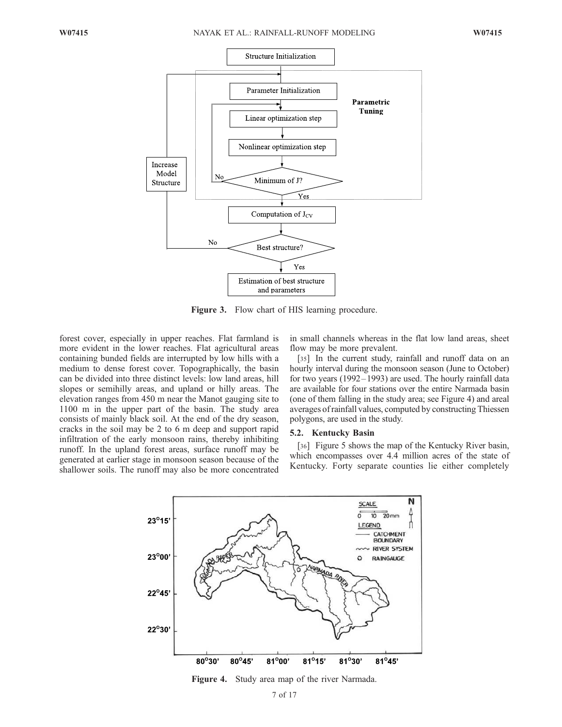

Figure 3. Flow chart of HIS learning procedure.

forest cover, especially in upper reaches. Flat farmland is more evident in the lower reaches. Flat agricultural areas containing bunded fields are interrupted by low hills with a medium to dense forest cover. Topographically, the basin can be divided into three distinct levels: low land areas, hill slopes or semihilly areas, and upland or hilly areas. The elevation ranges from 450 m near the Manot gauging site to 1100 m in the upper part of the basin. The study area consists of mainly black soil. At the end of the dry season, cracks in the soil may be 2 to 6 m deep and support rapid infiltration of the early monsoon rains, thereby inhibiting runoff. In the upland forest areas, surface runoff may be generated at earlier stage in monsoon season because of the shallower soils. The runoff may also be more concentrated

in small channels whereas in the flat low land areas, sheet flow may be more prevalent.

[35] In the current study, rainfall and runoff data on an hourly interval during the monsoon season (June to October) for two years (1992–1993) are used. The hourly rainfall data are available for four stations over the entire Narmada basin (one of them falling in the study area; see Figure 4) and areal averages of rainfall values, computed by constructing Thiessen polygons, are used in the study.

### 5.2. Kentucky Basin

[36] Figure 5 shows the map of the Kentucky River basin, which encompasses over 4.4 million acres of the state of Kentucky. Forty separate counties lie either completely



Figure 4. Study area map of the river Narmada.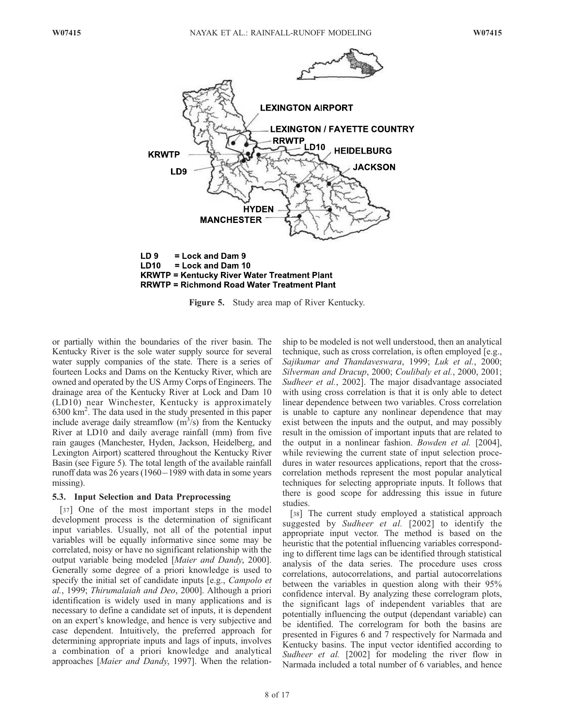

Figure 5. Study area map of River Kentucky.

**RRWTP = Richmond Road Water Treatment Plant** 

or partially within the boundaries of the river basin. The Kentucky River is the sole water supply source for several water supply companies of the state. There is a series of fourteen Locks and Dams on the Kentucky River, which are owned and operated by the US Army Corps of Engineers. The drainage area of the Kentucky River at Lock and Dam 10 (LD10) near Winchester, Kentucky is approximately 6300 km<sup>2</sup> . The data used in the study presented in this paper include average daily streamflow  $(m^3/s)$  from the Kentucky River at LD10 and daily average rainfall (mm) from five rain gauges (Manchester, Hyden, Jackson, Heidelberg, and Lexington Airport) scattered throughout the Kentucky River Basin (see Figure 5). The total length of the available rainfall runoff data was  $26$  years (1960 $-1989$  with data in some years missing).

# 5.3. Input Selection and Data Preprocessing

[37] One of the most important steps in the model development process is the determination of significant input variables. Usually, not all of the potential input variables will be equally informative since some may be correlated, noisy or have no significant relationship with the output variable being modeled [*Maier and Dandy*, 2000]. Generally some degree of a priori knowledge is used to specify the initial set of candidate inputs [e.g., *Campolo et al.*, 1999; *Thirumalaiah and Deo*, 2000]. Although a priori identification is widely used in many applications and is necessary to define a candidate set of inputs, it is dependent on an expert's knowledge, and hence is very subjective and case dependent. Intuitively, the preferred approach for determining appropriate inputs and lags of inputs, involves a combination of a priori knowledge and analytical approaches [*Maier and Dandy*, 1997]. When the relation-

ship to be modeled is not well understood, then an analytical technique, such as cross correlation, is often employed [e.g., *Sajikumar and Thandaveswara*, 1999; *Luk et al.*, 2000; *Silverman and Dracup*, 2000; *Coulibaly et al.*, 2000, 2001; *Sudheer et al.*, 2002]. The major disadvantage associated with using cross correlation is that it is only able to detect linear dependence between two variables. Cross correlation is unable to capture any nonlinear dependence that may exist between the inputs and the output, and may possibly result in the omission of important inputs that are related to the output in a nonlinear fashion. *Bowden et al.* [2004], while reviewing the current state of input selection procedures in water resources applications, report that the crosscorrelation methods represent the most popular analytical techniques for selecting appropriate inputs. It follows that there is good scope for addressing this issue in future studies.

[38] The current study employed a statistical approach suggested by *Sudheer et al.* [2002] to identify the appropriate input vector. The method is based on the heuristic that the potential influencing variables corresponding to different time lags can be identified through statistical analysis of the data series. The procedure uses cross correlations, autocorrelations, and partial autocorrelations between the variables in question along with their 95% confidence interval. By analyzing these correlogram plots, the significant lags of independent variables that are potentially influencing the output (dependant variable) can be identified. The correlogram for both the basins are presented in Figures 6 and 7 respectively for Narmada and Kentucky basins. The input vector identified according to *Sudheer et al.* [2002] for modeling the river flow in Narmada included a total number of 6 variables, and hence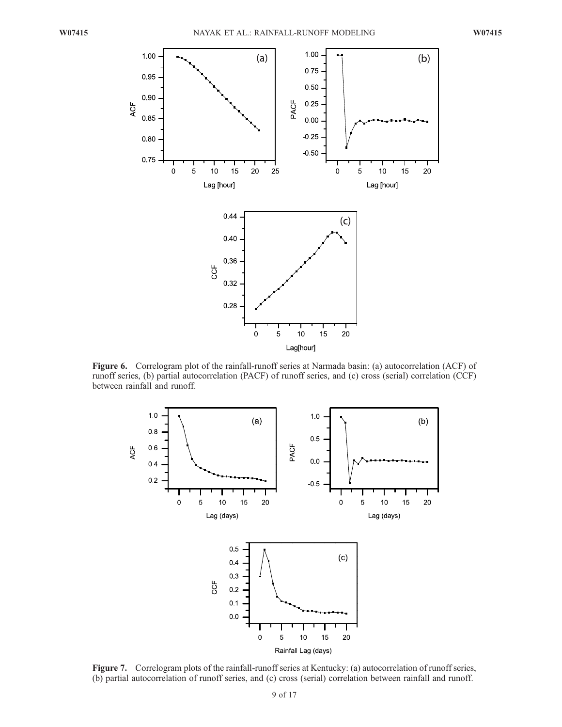

Figure 6. Correlogram plot of the rainfall-runoff series at Narmada basin: (a) autocorrelation (ACF) of runoff series, (b) partial autocorrelation (PACF) of runoff series, and (c) cross (serial) correlation (CCF) between rainfall and runoff.



Figure 7. Correlogram plots of the rainfall-runoff series at Kentucky: (a) autocorrelation of runoff series, (b) partial autocorrelation of runoff series, and (c) cross (serial) correlation between rainfall and runoff.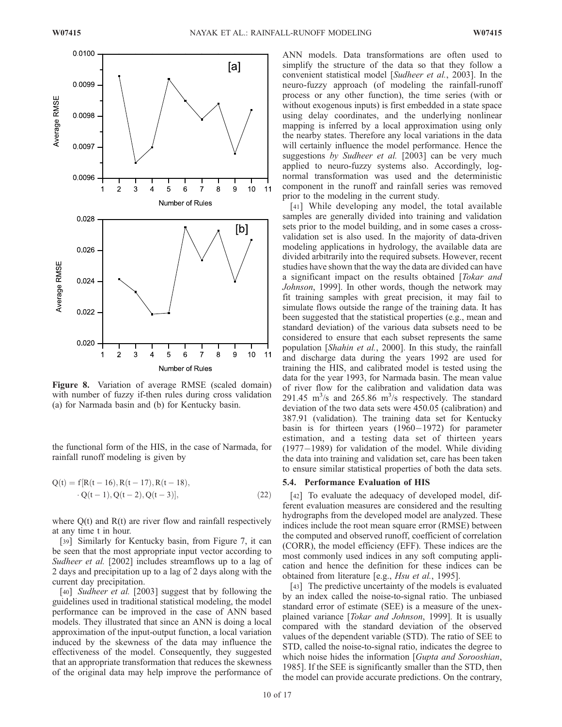

Figure 8. Variation of average RMSE (scaled domain) with number of fuzzy if-then rules during cross validation (a) for Narmada basin and (b) for Kentucky basin.

the functional form of the HIS, in the case of Narmada, for rainfall runoff modeling is given by

$$
Q(t) = f[R(t-16), R(t-17), R(t-18),
$$
  
. 
$$
Q(t-1), Q(t-2), Q(t-3)],
$$
 (22)

where  $Q(t)$  and  $R(t)$  are river flow and rainfall respectively at any time t in hour.

[39] Similarly for Kentucky basin, from Figure 7, it can be seen that the most appropriate input vector according to *Sudheer et al.* [2002] includes streamflows up to a lag of 2 days and precipitation up to a lag of 2 days along with the current day precipitation.

[40] *Sudheer et al.* [2003] suggest that by following the guidelines used in traditional statistical modeling, the model performance can be improved in the case of ANN based models. They illustrated that since an ANN is doing a local approximation of the input-output function, a local variation induced by the skewness of the data may influence the effectiveness of the model. Consequently, they suggested that an appropriate transformation that reduces the skewness of the original data may help improve the performance of

ANN models. Data transformations are often used to simplify the structure of the data so that they follow a convenient statistical model [*Sudheer et al.*, 2003]. In the neuro-fuzzy approach (of modeling the rainfall-runoff process or any other function), the time series (with or without exogenous inputs) is first embedded in a state space using delay coordinates, and the underlying nonlinear mapping is inferred by a local approximation using only the nearby states. Therefore any local variations in the data will certainly influence the model performance. Hence the suggestions *by Sudheer et al.* [2003] can be very much applied to neuro-fuzzy systems also. Accordingly, lognormal transformation was used and the deterministic component in the runoff and rainfall series was removed prior to the modeling in the current study.

[41] While developing any model, the total available samples are generally divided into training and validation sets prior to the model building, and in some cases a crossvalidation set is also used. In the majority of data-driven modeling applications in hydrology, the available data are divided arbitrarily into the required subsets. However, recent studies have shown that the way the data are divided can have a significant impact on the results obtained [*Tokar and Johnson*, 1999]. In other words, though the network may fit training samples with great precision, it may fail to simulate flows outside the range of the training data. It has been suggested that the statistical properties (e.g., mean and standard deviation) of the various data subsets need to be considered to ensure that each subset represents the same population [*Shahin et al.*, 2000]. In this study, the rainfall and discharge data during the years 1992 are used for training the HIS, and calibrated model is tested using the data for the year 1993, for Narmada basin. The mean value of river flow for the calibration and validation data was 291.45  $\text{m}^3\text{/s}$  and 265.86  $\text{m}^3\text{/s}$  respectively. The standard deviation of the two data sets were 450.05 (calibration) and 387.91 (validation). The training data set for Kentucky basin is for thirteen years  $(1960-1972)$  for parameter estimation, and a testing data set of thirteen years  $(1977-1989)$  for validation of the model. While dividing the data into training and validation set, care has been taken to ensure similar statistical properties of both the data sets.

#### 5.4. Performance Evaluation of HIS

[42] To evaluate the adequacy of developed model, different evaluation measures are considered and the resulting hydrographs from the developed model are analyzed. These indices include the root mean square error (RMSE) between the computed and observed runoff, coefficient of correlation (CORR), the model efficiency (EFF). These indices are the most commonly used indices in any soft computing application and hence the definition for these indices can be obtained from literature [e.g., *Hsu et al.*, 1995].

[43] The predictive uncertainty of the models is evaluated by an index called the noise-to-signal ratio. The unbiased standard error of estimate (SEE) is a measure of the unexplained variance [*Tokar and Johnson*, 1999]. It is usually compared with the standard deviation of the observed values of the dependent variable (STD). The ratio of SEE to STD, called the noise-to-signal ratio, indicates the degree to which noise hides the information [*Gupta and Sorooshian*, 1985]. If the SEE is significantly smaller than the STD, then the model can provide accurate predictions. On the contrary,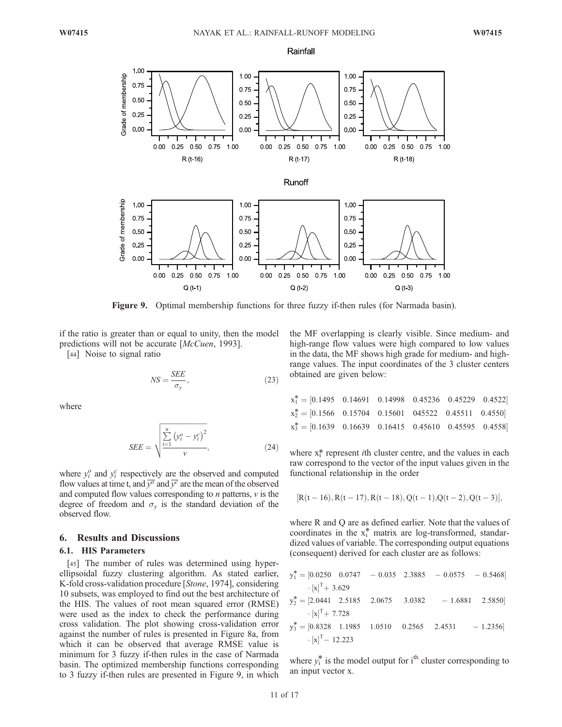

Figure 9. Optimal membership functions for three fuzzy if-then rules (for Narmada basin).

if the ratio is greater than or equal to unity, then the model predictions will not be accurate [*McCuen*, 1993].

[44] Noise to signal ratio

$$
NS = \frac{SEE}{\sigma_y},\tag{23}
$$

where

$$
SEE = \sqrt{\frac{\sum_{t=1}^{n} (y_t^o - y_t^c)^2}{v}},
$$
\n(24)

where  $y_i^o$  and  $y_i^c$  respectively are the observed and computed flow values at time t, and  $\overline{y}^{\circ}$  and  $\overline{y}^{\circ}$  are the mean of the observed and computed flow values corresponding to *n* patterns, *v* is the degree of freedom and  $\sigma_y$  is the standard deviation of the observed flow.

#### 6. Results and Discussions

#### 6.1. HIS Parameters

[45] The number of rules was determined using hyperellipsoidal fuzzy clustering algorithm. As stated earlier, K-fold cross-validation procedure [*Stone*, 1974], considering 10 subsets, was employed to find out the best architecture of the HIS. The values of root mean squared error (RMSE) were used as the index to check the performance during cross validation. The plot showing cross-validation error against the number of rules is presented in Figure 8a, from which it can be observed that average RMSE value is minimum for 3 fuzzy if-then rules in the case of Narmada basin. The optimized membership functions corresponding to 3 fuzzy if-then rules are presented in Figure 9, in which

the MF overlapping is clearly visible. Since medium- and high-range flow values were high compared to low values in the data, the MF shows high grade for medium- and highrange values. The input coordinates of the 3 cluster centers obtained are given below:

$$
x_1^* = [0.1495 \quad 0.14691 \quad 0.14998 \quad 0.45236 \quad 0.45229 \quad 0.4522]
$$
  

$$
x_2^* = [0.1566 \quad 0.15704 \quad 0.15601 \quad 045522 \quad 0.45511 \quad 0.4550]
$$
  

$$
x_3^* = [0.1639 \quad 0.16639 \quad 0.16415 \quad 0.45610 \quad 0.45595 \quad 0.4558]
$$

where  $x_i^*$  represent *i*th cluster centre, and the values in each raw correspond to the vector of the input values given in the functional relationship in the order

$$
[R(t-16), R(t-17), R(t-18), Q(t-1), Q(t-2), Q(t-3)],
$$

where R and Q are as defined earlier. Note that the values of coordinates in the  $x_i^*$  matrix are log-transformed, standardized values of variable. The corresponding output equations (consequent) derived for each cluster are as follows:

| $y_1^* = [0.0250 \quad 0.0747 \quad -0.035 \quad 2.3885 \quad -0.0575 \quad -0.5468]$ |  |  |  |
|---------------------------------------------------------------------------------------|--|--|--|
| $\cdot$ [x] <sup>T</sup> + 3.629                                                      |  |  |  |
| $y_2^* = [2.0441 \quad 2.5185 \quad 2.0675 \quad 3.0382 \quad -1.6881 \quad 2.5850]$  |  |  |  |
| $\cdot$ [x] <sup>T</sup> + 7.728                                                      |  |  |  |
| $y_3^* = [0.8328 \quad 1.1985 \quad 1.0510 \quad 0.2565 \quad 2.4531 \quad -1.2356]$  |  |  |  |
| $\cdot$ [x] <sup>T</sup> – 12.223                                                     |  |  |  |

where  $y_i^*$  is the model output for i<sup>th</sup> cluster corresponding to an input vector x.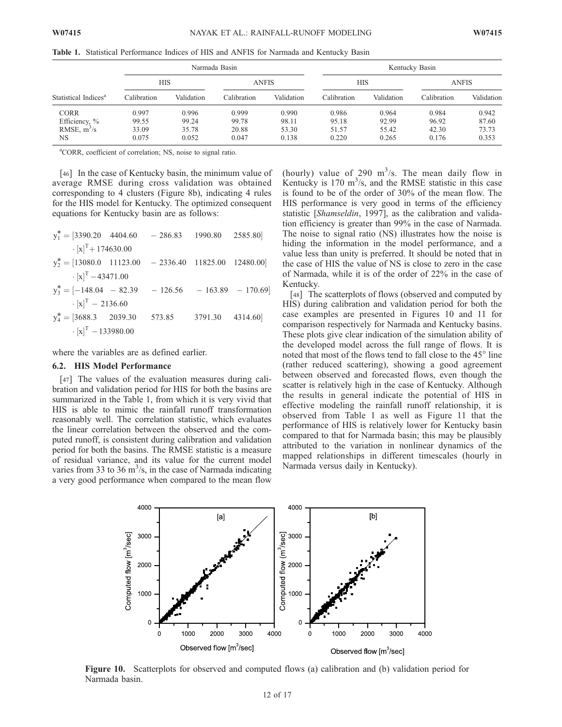|                                  |             | Narmada Basin |              |            |             | Kentucky Basin |              |            |  |  |
|----------------------------------|-------------|---------------|--------------|------------|-------------|----------------|--------------|------------|--|--|
| Statistical Indices <sup>a</sup> | <b>HIS</b>  |               | <b>ANFIS</b> |            | HIS         |                | <b>ANFIS</b> |            |  |  |
|                                  | Calibration | Validation    | Calibration  | Validation | Calibration | Validation     | Calibration  | Validation |  |  |
| <b>CORR</b>                      | 0.997       | 0.996         | 0.999        | 0.990      | 0.986       | 0.964          | 0.984        | 0.942      |  |  |
| Efficiency, %                    | 99.55       | 99.24         | 99.78        | 98.11      | 95.18       | 92.99          | 96.92        | 87.60      |  |  |
| RMSE, $m^3/s$                    | 33.09       | 35.78         | 20.88        | 53.30      | 51.57       | 55.42          | 42.30        | 73.73      |  |  |
| NS                               | 0.075       | 0.052         | 0.047        | 0.138      | 0.220       | 0.265          | 0.176        | 0.353      |  |  |

Table 1. Statistical Performance Indices of HIS and ANFIS for Narmada and Kentucky Basin

aCORR, coefficient of correlation; NS, noise to signal ratio.

[46] In the case of Kentucky basin, the minimum value of average RMSE during cross validation was obtained corresponding to 4 clusters (Figure 8b), indicating 4 rules for the HIS model for Kentucky. The optimized consequent equations for Kentucky basin are as follows:

|                                      | $y_1^* = [3390.20 \quad 4404.60 \quad -286.83 \quad 1990.80 \quad 2585.80]$ |                 |  |
|--------------------------------------|-----------------------------------------------------------------------------|-----------------|--|
| $\cdot$ [x] <sup>T</sup> + 174630.00 |                                                                             |                 |  |
| $y_2^* = [13080.0 \quad 11123.00]$   | $-2336.40$ 11825.00 12480.00                                                |                 |  |
| $\cdot$ [x] <sup>T</sup> -43471.00   |                                                                             |                 |  |
|                                      | $y_3^* = [-148.04 - 82.39 - 126.56 - 163.89 - 170.69]$                      |                 |  |
| $\cdot$ [x] <sup>T</sup> - 2136.60   |                                                                             |                 |  |
| $y_4^* = [3688.3 \quad 2039.30]$     | 573.85                                                                      | 3791.30 4314.60 |  |
| $\cdot$ [x] <sup>T</sup> - 133980.00 |                                                                             |                 |  |

where the variables are as defined earlier.

# 6.2. HIS Model Performance

[47] The values of the evaluation measures during calibration and validation period for HIS for both the basins are summarized in the Table 1, from which it is very vivid that HIS is able to mimic the rainfall runoff transformation reasonably well. The correlation statistic, which evaluates the linear correlation between the observed and the computed runoff, is consistent during calibration and validation period for both the basins. The RMSE statistic is a measure of residual variance, and its value for the current model varies from 33 to 36  $\text{m}^3$ /s, in the case of Narmada indicating a very good performance when compared to the mean flow

(hourly) value of 290  $m^3/s$ . The mean daily flow in Kentucky is  $170 \text{ m}^3$ /s, and the RMSE statistic in this case is found to be of the order of 30% of the mean flow. The HIS performance is very good in terms of the efficiency statistic [*Shamseldin*, 1997], as the calibration and validation efficiency is greater than 99% in the case of Narmada. The noise to signal ratio (NS) illustrates how the noise is hiding the information in the model performance, and a value less than unity is preferred. It should be noted that in the case of HIS the value of NS is close to zero in the case of Narmada, while it is of the order of 22% in the case of Kentucky.

[48] The scatterplots of flows (observed and computed by HIS) during calibration and validation period for both the case examples are presented in Figures 10 and 11 for comparison respectively for Narmada and Kentucky basins. These plots give clear indication of the simulation ability of the developed model across the full range of flows. It is noted that most of the flows tend to fall close to the 45<sup>°</sup> line (rather reduced scattering), showing a good agreement between observed and forecasted flows, even though the scatter is relatively high in the case of Kentucky. Although the results in general indicate the potential of HIS in effective modeling the rainfall runoff relationship, it is observed from Table 1 as well as Figure 11 that the performance of HIS is relatively lower for Kentucky basin compared to that for Narmada basin; this may be plausibly attributed to the variation in nonlinear dynamics of the mapped relationships in different timescales (hourly in Narmada versus daily in Kentucky).



Figure 10. Scatterplots for observed and computed flows (a) calibration and (b) validation period for Narmada basin.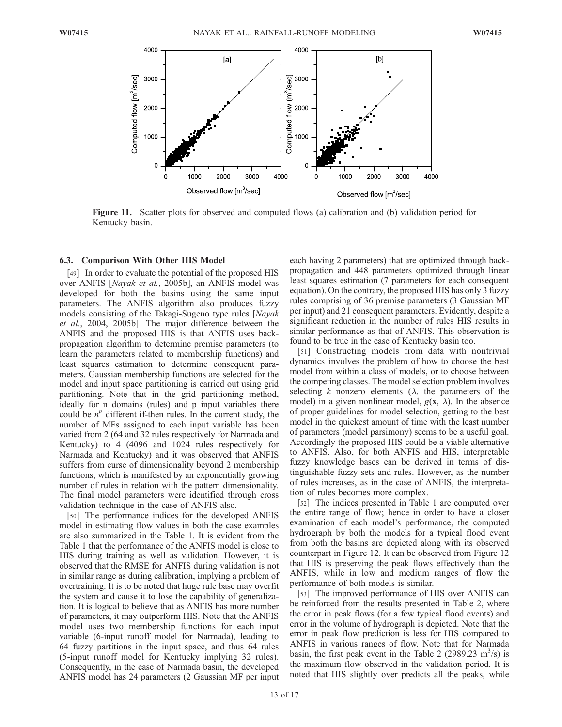

Figure 11. Scatter plots for observed and computed flows (a) calibration and (b) validation period for Kentucky basin.

# 6.3. Comparison With Other HIS Model

[49] In order to evaluate the potential of the proposed HIS over ANFIS [*Nayak et al.*, 2005b], an ANFIS model was developed for both the basins using the same input parameters. The ANFIS algorithm also produces fuzzy models consisting of the Takagi-Sugeno type rules [*Nayak et al.*, 2004, 2005b]. The major difference between the ANFIS and the proposed HIS is that ANFIS uses backpropagation algorithm to determine premise parameters (to learn the parameters related to membership functions) and least squares estimation to determine consequent parameters. Gaussian membership functions are selected for the model and input space partitioning is carried out using grid partitioning. Note that in the grid partitioning method, ideally for n domains (rules) and p input variables there could be  $n<sup>p</sup>$  different if-then rules. In the current study, the number of MFs assigned to each input variable has been varied from 2 (64 and 32 rules respectively for Narmada and Kentucky) to 4 (4096 and 1024 rules respectively for Narmada and Kentucky) and it was observed that ANFIS suffers from curse of dimensionality beyond 2 membership functions, which is manifested by an exponentially growing number of rules in relation with the pattern dimensionality. The final model parameters were identified through cross validation technique in the case of ANFIS also.

[50] The performance indices for the developed ANFIS model in estimating flow values in both the case examples are also summarized in the Table 1. It is evident from the Table 1 that the performance of the ANFIS model is close to HIS during training as well as validation. However, it is observed that the RMSE for ANFIS during validation is not in similar range as during calibration, implying a problem of overtraining. It is to be noted that huge rule base may overfit the system and cause it to lose the capability of generalization. It is logical to believe that as ANFIS has more number of parameters, it may outperform HIS. Note that the ANFIS model uses two membership functions for each input variable (6-input runoff model for Narmada), leading to 64 fuzzy partitions in the input space, and thus 64 rules (5-input runoff model for Kentucky implying 32 rules). Consequently, in the case of Narmada basin, the developed ANFIS model has 24 parameters (2 Gaussian MF per input

each having 2 parameters) that are optimized through backpropagation and 448 parameters optimized through linear least squares estimation (7 parameters for each consequent equation). On the contrary, the proposed HIS has only 3 fuzzy rules comprising of 36 premise parameters (3 Gaussian MF per input) and 21 consequent parameters. Evidently, despite a significant reduction in the number of rules HIS results in similar performance as that of ANFIS. This observation is found to be true in the case of Kentucky basin too.

[51] Constructing models from data with nontrivial dynamics involves the problem of how to choose the best model from within a class of models, or to choose between the competing classes. The model selection problem involves selecting  $k$  nonzero elements  $(\lambda)$ , the parameters of the model) in a given nonlinear model,  $g(x, \lambda)$ . In the absence of proper guidelines for model selection, getting to the best model in the quickest amount of time with the least number of parameters (model parsimony) seems to be a useful goal. Accordingly the proposed HIS could be a viable alternative to ANFIS. Also, for both ANFIS and HIS, interpretable fuzzy knowledge bases can be derived in terms of distinguishable fuzzy sets and rules. However, as the number of rules increases, as in the case of ANFIS, the interpretation of rules becomes more complex.

[52] The indices presented in Table 1 are computed over the entire range of flow; hence in order to have a closer examination of each model's performance, the computed hydrograph by both the models for a typical flood event from both the basins are depicted along with its observed counterpart in Figure 12. It can be observed from Figure 12 that HIS is preserving the peak flows effectively than the ANFIS, while in low and medium ranges of flow the performance of both models is similar.

[53] The improved performance of HIS over ANFIS can be reinforced from the results presented in Table 2, where the error in peak flows (for a few typical flood events) and error in the volume of hydrograph is depicted. Note that the error in peak flow prediction is less for HIS compared to ANFIS in various ranges of flow. Note that for Narmada basin, the first peak event in the Table 2 (2989.23 m<sup>3</sup>/s) is the maximum flow observed in the validation period. It is noted that HIS slightly over predicts all the peaks, while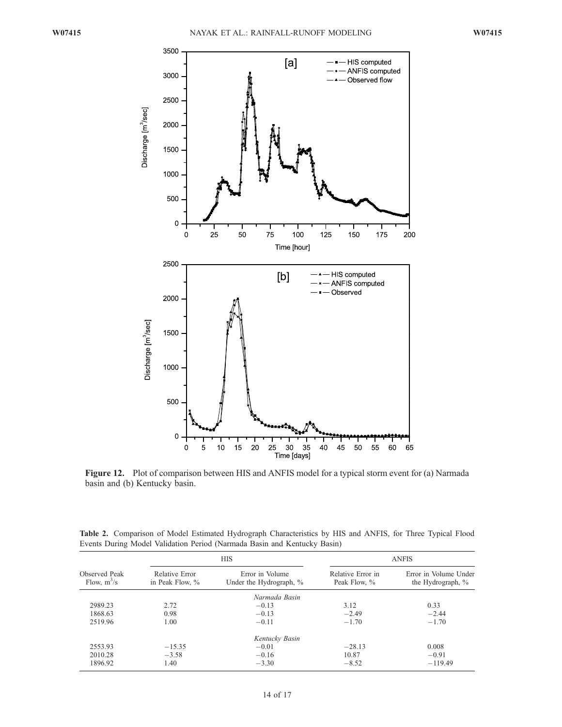

Figure 12. Plot of comparison between HIS and ANFIS model for a typical storm event for (a) Narmada basin and (b) Kentucky basin.

|  |  | Table 2. Comparison of Model Estimated Hydrograph Characteristics by HIS and ANFIS, for Three Typical Flood |  |  |  |  |
|--|--|-------------------------------------------------------------------------------------------------------------|--|--|--|--|
|  |  | Events During Model Validation Period (Narmada Basin and Kentucky Basin)                                    |  |  |  |  |

|                                |                                      | <b>HIS</b>                                 | <b>ANFIS</b>                      |                                            |  |  |
|--------------------------------|--------------------------------------|--------------------------------------------|-----------------------------------|--------------------------------------------|--|--|
| Observed Peak<br>Flow, $m^3/s$ | Relative Error<br>in Peak Flow, $\%$ | Error in Volume<br>Under the Hydrograph, % | Relative Error in<br>Peak Flow, % | Error in Volume Under<br>the Hydrograph, % |  |  |
|                                |                                      | Narmada Basin                              |                                   |                                            |  |  |
| 2989.23                        | 2.72                                 | $-0.13$                                    | 3.12                              | 0.33                                       |  |  |
| 1868.63                        | 0.98                                 | $-0.13$                                    | $-2.49$                           | $-2.44$                                    |  |  |
| 2519.96                        | 1.00                                 | $-0.11$                                    | $-1.70$                           | $-1.70$                                    |  |  |
|                                |                                      | Kentucky Basin                             |                                   |                                            |  |  |
| 2553.93                        | $-15.35$                             | $-0.01$                                    | $-28.13$                          | 0.008                                      |  |  |
| 2010.28                        | $-3.58$                              | $-0.16$                                    | 10.87                             | $-0.91$                                    |  |  |
| 1896.92                        | 1.40<br>$-3.30$                      |                                            |                                   | $-119.49$                                  |  |  |
|                                |                                      |                                            |                                   |                                            |  |  |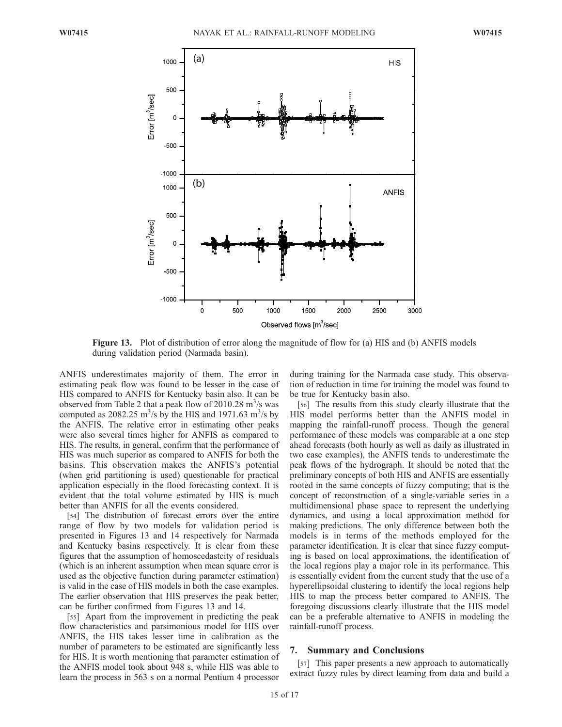

Figure 13. Plot of distribution of error along the magnitude of flow for (a) HIS and (b) ANFIS models during validation period (Narmada basin).

ANFIS underestimates majority of them. The error in estimating peak flow was found to be lesser in the case of HIS compared to ANFIS for Kentucky basin also. It can be observed from Table 2 that a peak flow of 2010.28  $\text{m}^3\text{/s}$  was computed as 2082.25  $\text{m}^3\text{/s}$  by the HIS and 1971.63  $\text{m}^3\text{/s}$  by the ANFIS. The relative error in estimating other peaks were also several times higher for ANFIS as compared to HIS. The results, in general, confirm that the performance of HIS was much superior as compared to ANFIS for both the basins. This observation makes the ANFIS's potential (when grid partitioning is used) questionable for practical application especially in the flood forecasting context. It is evident that the total volume estimated by HIS is much better than ANFIS for all the events considered.

[54] The distribution of forecast errors over the entire range of flow by two models for validation period is presented in Figures 13 and 14 respectively for Narmada and Kentucky basins respectively. It is clear from these figures that the assumption of homoscedastcity of residuals (which is an inherent assumption when mean square error is used as the objective function during parameter estimation) is valid in the case of HIS models in both the case examples. The earlier observation that HIS preserves the peak better, can be further confirmed from Figures 13 and 14.

[55] Apart from the improvement in predicting the peak flow characteristics and parsimonious model for HIS over ANFIS, the HIS takes lesser time in calibration as the number of parameters to be estimated are significantly less for HIS. It is worth mentioning that parameter estimation of the ANFIS model took about 948 s, while HIS was able to learn the process in 563 s on a normal Pentium 4 processor

during training for the Narmada case study. This observation of reduction in time for training the model was found to be true for Kentucky basin also.

[56] The results from this study clearly illustrate that the HIS model performs better than the ANFIS model in mapping the rainfall-runoff process. Though the general performance of these models was comparable at a one step ahead forecasts (both hourly as well as daily as illustrated in two case examples), the ANFIS tends to underestimate the peak flows of the hydrograph. It should be noted that the preliminary concepts of both HIS and ANFIS are essentially rooted in the same concepts of fuzzy computing; that is the concept of reconstruction of a single-variable series in a multidimensional phase space to represent the underlying dynamics, and using a local approximation method for making predictions. The only difference between both the models is in terms of the methods employed for the parameter identification. It is clear that since fuzzy computing is based on local approximations, the identification of the local regions play a major role in its performance. This is essentially evident from the current study that the use of a hyperellipsoidal clustering to identify the local regions help HIS to map the process better compared to ANFIS. The foregoing discussions clearly illustrate that the HIS model can be a preferable alternative to ANFIS in modeling the rainfall-runoff process.

# 7. Summary and Conclusions

[57] This paper presents a new approach to automatically extract fuzzy rules by direct learning from data and build a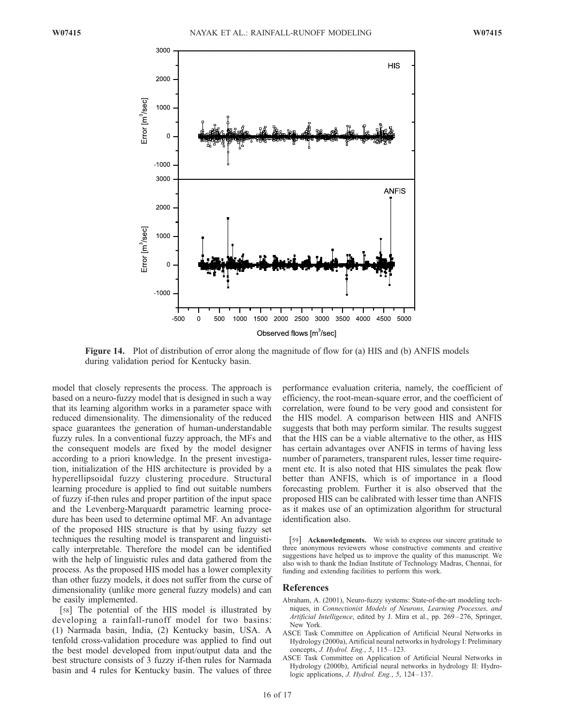

Figure 14. Plot of distribution of error along the magnitude of flow for (a) HIS and (b) ANFIS models during validation period for Kentucky basin.

model that closely represents the process. The approach is based on a neuro-fuzzy model that is designed in such a way that its learning algorithm works in a parameter space with reduced dimensionality. The dimensionality of the reduced space guarantees the generation of human-understandable fuzzy rules. In a conventional fuzzy approach, the MFs and the consequent models are fixed by the model designer according to a priori knowledge. In the present investigation, initialization of the HIS architecture is provided by a hyperellipsoidal fuzzy clustering procedure. Structural learning procedure is applied to find out suitable numbers of fuzzy if-then rules and proper partition of the input space and the Levenberg-Marquardt parametric learning procedure has been used to determine optimal MF. An advantage of the proposed HIS structure is that by using fuzzy set techniques the resulting model is transparent and linguistically interpretable. Therefore the model can be identified with the help of linguistic rules and data gathered from the process. As the proposed HIS model has a lower complexity than other fuzzy models, it does not suffer from the curse of dimensionality (unlike more general fuzzy models) and can be easily implemented.

[58] The potential of the HIS model is illustrated by developing a rainfall-runoff model for two basins: (1) Narmada basin, India, (2) Kentucky basin, USA. A tenfold cross-validation procedure was applied to find out the best model developed from input/output data and the best structure consists of 3 fuzzy if-then rules for Narmada basin and 4 rules for Kentucky basin. The values of three

performance evaluation criteria, namely, the coefficient of efficiency, the root-mean-square error, and the coefficient of correlation, were found to be very good and consistent for the HIS model. A comparison between HIS and ANFIS suggests that both may perform similar. The results suggest that the HIS can be a viable alternative to the other, as HIS has certain advantages over ANFIS in terms of having less number of parameters, transparent rules, lesser time requirement etc. It is also noted that HIS simulates the peak flow better than ANFIS, which is of importance in a flood forecasting problem. Further it is also observed that the proposed HIS can be calibrated with lesser time than ANFIS as it makes use of an optimization algorithm for structural identification also.

[59] Acknowledgments. We wish to express our sincere gratitude to three anonymous reviewers whose constructive comments and creative suggestions have helped us to improve the quality of this manuscript. We also wish to thank the Indian Institute of Technology Madras, Chennai, for funding and extending facilities to perform this work.

### References

- Abraham, A. (2001), Neuro-fuzzy systems: State-of-the-art modeling techniques, in *Connectionist Models of Neurons, Learning Processes, and Artificial Intelligence*, edited by J. Mira et al., pp. 269 – 276, Springer, New York.
- ASCE Task Committee on Application of Artificial Neural Networks in Hydrology (2000a), Artificial neural networks in hydrology I: Preliminary concepts, *J. Hydrol. Eng.*, *5*, 115 – 123.
- ASCE Task Committee on Application of Artificial Neural Networks in Hydrology (2000b), Artificial neural networks in hydrology II: Hydrologic applications, *J. Hydrol. Eng.*, *5*, 124 – 137.